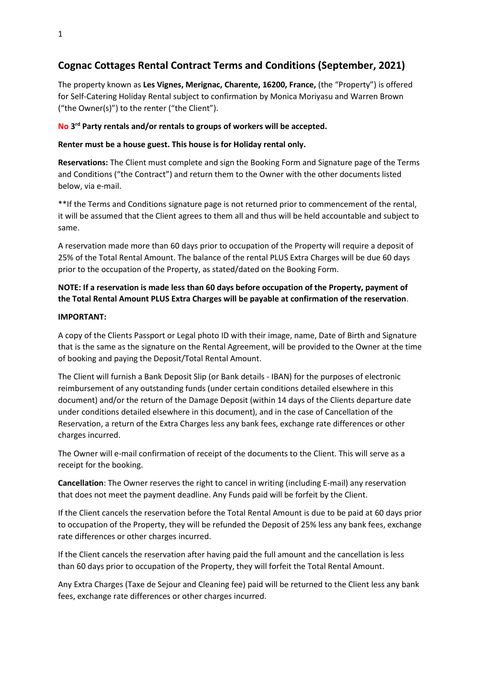# **Cognac Cottages Rental Contract Terms and Conditions (September, 2021)**

The property known as **Les Vignes, Merignac, Charente, 16200, France,** (the "Property") is offered for Self-Catering Holiday Rental subject to confirmation by Monica Moriyasu and Warren Brown ("the Owner(s)") to the renter ("the Client").

## **No 3 rd Party rentals and/or rentals to groups of workers will be accepted.**

### **Renter must be a house guest. This house is for Holiday rental only.**

**Reservations:** The Client must complete and sign the Booking Form and Signature page of the Terms and Conditions ("the Contract") and return them to the Owner with the other documents listed below, via e-mail.

\*\*If the Terms and Conditions signature page is not returned prior to commencement of the rental, it will be assumed that the Client agrees to them all and thus will be held accountable and subject to same.

A reservation made more than 60 days prior to occupation of the Property will require a deposit of 25% of the Total Rental Amount. The balance of the rental PLUS Extra Charges will be due 60 days prior to the occupation of the Property, as stated/dated on the Booking Form.

# **NOTE: If a reservation is made less than 60 days before occupation of the Property, payment of the Total Rental Amount PLUS Extra Charges will be payable at confirmation of the reservation**.

#### **IMPORTANT:**

A copy of the Clients Passport or Legal photo ID with their image, name, Date of Birth and Signature that is the same as the signature on the Rental Agreement, will be provided to the Owner at the time of booking and paying the Deposit/Total Rental Amount.

The Client will furnish a Bank Deposit Slip (or Bank details - IBAN) for the purposes of electronic reimbursement of any outstanding funds (under certain conditions detailed elsewhere in this document) and/or the return of the Damage Deposit (within 14 days of the Clients departure date under conditions detailed elsewhere in this document), and in the case of Cancellation of the Reservation, a return of the Extra Charges less any bank fees, exchange rate differences or other charges incurred.

The Owner will e-mail confirmation of receipt of the documents to the Client. This will serve as a receipt for the booking.

**Cancellation**: The Owner reserves the right to cancel in writing (including E-mail) any reservation that does not meet the payment deadline. Any Funds paid will be forfeit by the Client.

If the Client cancels the reservation before the Total Rental Amount is due to be paid at 60 days prior to occupation of the Property, they will be refunded the Deposit of 25% less any bank fees, exchange rate differences or other charges incurred.

If the Client cancels the reservation after having paid the full amount and the cancellation is less than 60 days prior to occupation of the Property, they will forfeit the Total Rental Amount.

Any Extra Charges (Taxe de Sejour and Cleaning fee) paid will be returned to the Client less any bank fees, exchange rate differences or other charges incurred.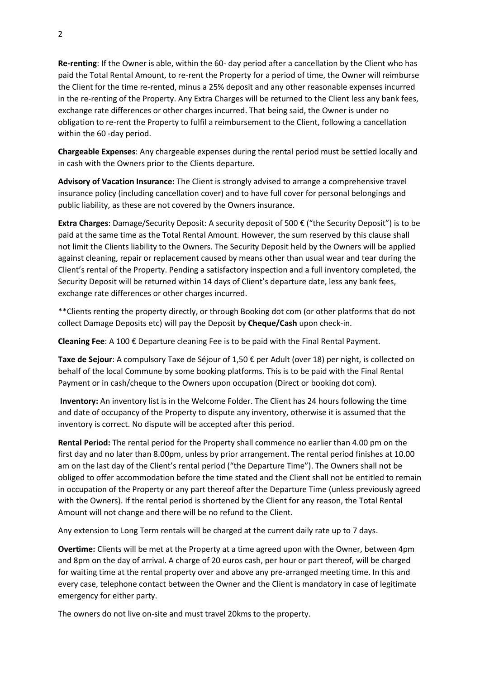**Re-renting**: If the Owner is able, within the 60- day period after a cancellation by the Client who has paid the Total Rental Amount, to re-rent the Property for a period of time, the Owner will reimburse the Client for the time re-rented, minus a 25% deposit and any other reasonable expenses incurred in the re-renting of the Property. Any Extra Charges will be returned to the Client less any bank fees, exchange rate differences or other charges incurred. That being said, the Owner is under no obligation to re-rent the Property to fulfil a reimbursement to the Client, following a cancellation within the 60 -day period.

**Chargeable Expenses**: Any chargeable expenses during the rental period must be settled locally and in cash with the Owners prior to the Clients departure.

**Advisory of Vacation Insurance:** The Client is strongly advised to arrange a comprehensive travel insurance policy (including cancellation cover) and to have full cover for personal belongings and public liability, as these are not covered by the Owners insurance.

**Extra Charges**: Damage/Security Deposit: A security deposit of 500 € ("the Security Deposit") is to be paid at the same time as the Total Rental Amount. However, the sum reserved by this clause shall not limit the Clients liability to the Owners. The Security Deposit held by the Owners will be applied against cleaning, repair or replacement caused by means other than usual wear and tear during the Client's rental of the Property. Pending a satisfactory inspection and a full inventory completed, the Security Deposit will be returned within 14 days of Client's departure date, less any bank fees, exchange rate differences or other charges incurred.

\*\*Clients renting the property directly, or through Booking dot com (or other platforms that do not collect Damage Deposits etc) will pay the Deposit by **Cheque/Cash** upon check-in.

**Cleaning Fee**: A 100 € Departure cleaning Fee is to be paid with the Final Rental Payment.

**Taxe de Sejour**: A compulsory Taxe de Séjour of 1,50 € per Adult (over 18) per night, is collected on behalf of the local Commune by some booking platforms. This is to be paid with the Final Rental Payment or in cash/cheque to the Owners upon occupation (Direct or booking dot com).

**Inventory:** An inventory list is in the Welcome Folder. The Client has 24 hours following the time and date of occupancy of the Property to dispute any inventory, otherwise it is assumed that the inventory is correct. No dispute will be accepted after this period.

**Rental Period:** The rental period for the Property shall commence no earlier than 4.00 pm on the first day and no later than 8.00pm, unless by prior arrangement. The rental period finishes at 10.00 am on the last day of the Client's rental period ("the Departure Time"). The Owners shall not be obliged to offer accommodation before the time stated and the Client shall not be entitled to remain in occupation of the Property or any part thereof after the Departure Time (unless previously agreed with the Owners). If the rental period is shortened by the Client for any reason, the Total Rental Amount will not change and there will be no refund to the Client.

Any extension to Long Term rentals will be charged at the current daily rate up to 7 days.

**Overtime:** Clients will be met at the Property at a time agreed upon with the Owner, between 4pm and 8pm on the day of arrival. A charge of 20 euros cash, per hour or part thereof, will be charged for waiting time at the rental property over and above any pre-arranged meeting time. In this and every case, telephone contact between the Owner and the Client is mandatory in case of legitimate emergency for either party.

The owners do not live on-site and must travel 20kms to the property.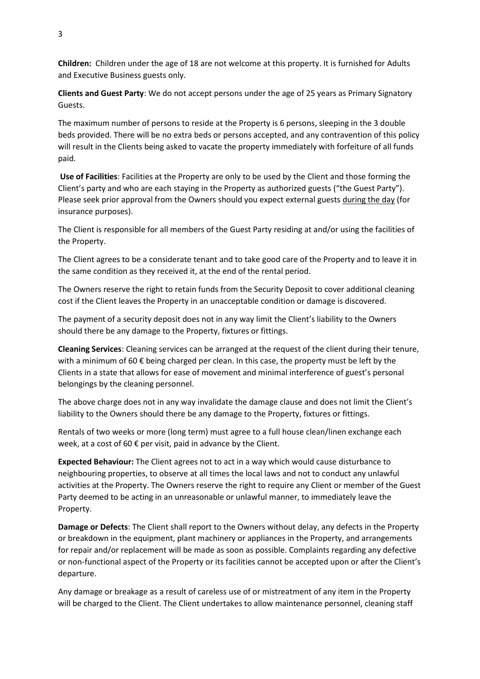**Children:** Children under the age of 18 are not welcome at this property. It is furnished for Adults and Executive Business guests only.

**Clients and Guest Party**: We do not accept persons under the age of 25 years as Primary Signatory Guests.

The maximum number of persons to reside at the Property is 6 persons, sleeping in the 3 double beds provided. There will be no extra beds or persons accepted, and any contravention of this policy will result in the Clients being asked to vacate the property immediately with forfeiture of all funds paid.

**Use of Facilities**: Facilities at the Property are only to be used by the Client and those forming the Client's party and who are each staying in the Property as authorized guests ("the Guest Party"). Please seek prior approval from the Owners should you expect external guests during the day (for insurance purposes).

The Client is responsible for all members of the Guest Party residing at and/or using the facilities of the Property.

The Client agrees to be a considerate tenant and to take good care of the Property and to leave it in the same condition as they received it, at the end of the rental period.

The Owners reserve the right to retain funds from the Security Deposit to cover additional cleaning cost if the Client leaves the Property in an unacceptable condition or damage is discovered.

The payment of a security deposit does not in any way limit the Client's liability to the Owners should there be any damage to the Property, fixtures or fittings.

**Cleaning Services**: Cleaning services can be arranged at the request of the client during their tenure, with a minimum of 60  $\epsilon$  being charged per clean. In this case, the property must be left by the Clients in a state that allows for ease of movement and minimal interference of guest's personal belongings by the cleaning personnel.

The above charge does not in any way invalidate the damage clause and does not limit the Client's liability to the Owners should there be any damage to the Property, fixtures or fittings.

Rentals of two weeks or more (long term) must agree to a full house clean/linen exchange each week, at a cost of 60  $\epsilon$  per visit, paid in advance by the Client.

**Expected Behaviour:** The Client agrees not to act in a way which would cause disturbance to neighbouring properties, to observe at all times the local laws and not to conduct any unlawful activities at the Property. The Owners reserve the right to require any Client or member of the Guest Party deemed to be acting in an unreasonable or unlawful manner, to immediately leave the Property.

**Damage or Defects**: The Client shall report to the Owners without delay, any defects in the Property or breakdown in the equipment, plant machinery or appliances in the Property, and arrangements for repair and/or replacement will be made as soon as possible. Complaints regarding any defective or non-functional aspect of the Property or its facilities cannot be accepted upon or after the Client's departure.

Any damage or breakage as a result of careless use of or mistreatment of any item in the Property will be charged to the Client. The Client undertakes to allow maintenance personnel, cleaning staff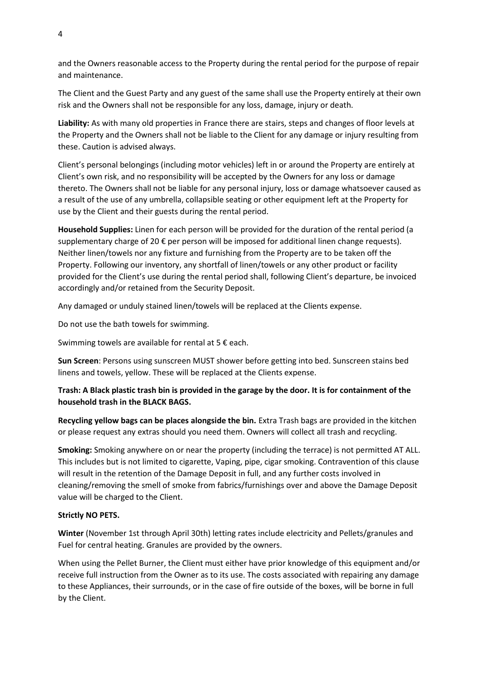and the Owners reasonable access to the Property during the rental period for the purpose of repair and maintenance.

The Client and the Guest Party and any guest of the same shall use the Property entirely at their own risk and the Owners shall not be responsible for any loss, damage, injury or death.

**Liability:** As with many old properties in France there are stairs, steps and changes of floor levels at the Property and the Owners shall not be liable to the Client for any damage or injury resulting from these. Caution is advised always.

Client's personal belongings (including motor vehicles) left in or around the Property are entirely at Client's own risk, and no responsibility will be accepted by the Owners for any loss or damage thereto. The Owners shall not be liable for any personal injury, loss or damage whatsoever caused as a result of the use of any umbrella, collapsible seating or other equipment left at the Property for use by the Client and their guests during the rental period.

**Household Supplies:** Linen for each person will be provided for the duration of the rental period (a supplementary charge of 20 € per person will be imposed for additional linen change requests). Neither linen/towels nor any fixture and furnishing from the Property are to be taken off the Property. Following our inventory, any shortfall of linen/towels or any other product or facility provided for the Client's use during the rental period shall, following Client's departure, be invoiced accordingly and/or retained from the Security Deposit.

Any damaged or unduly stained linen/towels will be replaced at the Clients expense.

Do not use the bath towels for swimming.

Swimming towels are available for rental at 5 € each.

**Sun Screen**: Persons using sunscreen MUST shower before getting into bed. Sunscreen stains bed linens and towels, yellow. These will be replaced at the Clients expense.

## **Trash: A Black plastic trash bin is provided in the garage by the door. It is for containment of the household trash in the BLACK BAGS.**

**Recycling yellow bags can be places alongside the bin.** Extra Trash bags are provided in the kitchen or please request any extras should you need them. Owners will collect all trash and recycling.

**Smoking:** Smoking anywhere on or near the property (including the terrace) is not permitted AT ALL. This includes but is not limited to cigarette, Vaping, pipe, cigar smoking. Contravention of this clause will result in the retention of the Damage Deposit in full, and any further costs involved in cleaning/removing the smell of smoke from fabrics/furnishings over and above the Damage Deposit value will be charged to the Client.

#### **Strictly NO PETS.**

**Winter** (November 1st through April 30th) letting rates include electricity and Pellets/granules and Fuel for central heating. Granules are provided by the owners.

When using the Pellet Burner, the Client must either have prior knowledge of this equipment and/or receive full instruction from the Owner as to its use. The costs associated with repairing any damage to these Appliances, their surrounds, or in the case of fire outside of the boxes, will be borne in full by the Client.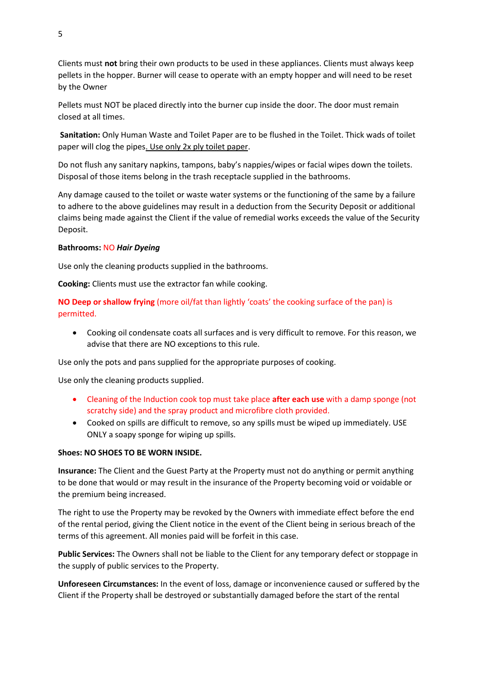Clients must **not** bring their own products to be used in these appliances. Clients must always keep pellets in the hopper. Burner will cease to operate with an empty hopper and will need to be reset by the Owner

Pellets must NOT be placed directly into the burner cup inside the door. The door must remain closed at all times.

**Sanitation:** Only Human Waste and Toilet Paper are to be flushed in the Toilet. Thick wads of toilet paper will clog the pipes. Use only 2x ply toilet paper.

Do not flush any sanitary napkins, tampons, baby's nappies/wipes or facial wipes down the toilets. Disposal of those items belong in the trash receptacle supplied in the bathrooms.

Any damage caused to the toilet or waste water systems or the functioning of the same by a failure to adhere to the above guidelines may result in a deduction from the Security Deposit or additional claims being made against the Client if the value of remedial works exceeds the value of the Security Deposit.

#### **Bathrooms:** NO *Hair Dyeing*

Use only the cleaning products supplied in the bathrooms.

**Cooking:** Clients must use the extractor fan while cooking.

**NO Deep or shallow frying** (more oil/fat than lightly 'coats' the cooking surface of the pan) is permitted.

• Cooking oil condensate coats all surfaces and is very difficult to remove. For this reason, we advise that there are NO exceptions to this rule.

Use only the pots and pans supplied for the appropriate purposes of cooking.

Use only the cleaning products supplied.

- Cleaning of the Induction cook top must take place **after each use** with a damp sponge (not scratchy side) and the spray product and microfibre cloth provided.
- Cooked on spills are difficult to remove, so any spills must be wiped up immediately. USE ONLY a soapy sponge for wiping up spills.

#### **Shoes: NO SHOES TO BE WORN INSIDE.**

**Insurance:** The Client and the Guest Party at the Property must not do anything or permit anything to be done that would or may result in the insurance of the Property becoming void or voidable or the premium being increased.

The right to use the Property may be revoked by the Owners with immediate effect before the end of the rental period, giving the Client notice in the event of the Client being in serious breach of the terms of this agreement. All monies paid will be forfeit in this case.

**Public Services:** The Owners shall not be liable to the Client for any temporary defect or stoppage in the supply of public services to the Property.

**Unforeseen Circumstances:** In the event of loss, damage or inconvenience caused or suffered by the Client if the Property shall be destroyed or substantially damaged before the start of the rental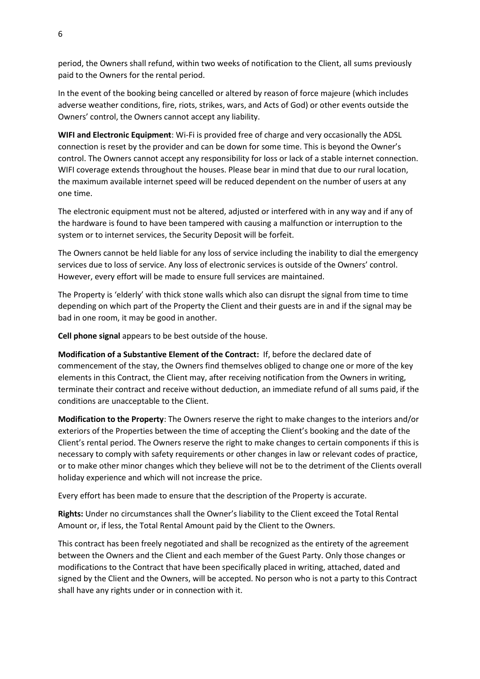period, the Owners shall refund, within two weeks of notification to the Client, all sums previously paid to the Owners for the rental period.

In the event of the booking being cancelled or altered by reason of force majeure (which includes adverse weather conditions, fire, riots, strikes, wars, and Acts of God) or other events outside the Owners' control, the Owners cannot accept any liability.

**WIFI and Electronic Equipment**: Wi-Fi is provided free of charge and very occasionally the ADSL connection is reset by the provider and can be down for some time. This is beyond the Owner's control. The Owners cannot accept any responsibility for loss or lack of a stable internet connection. WIFI coverage extends throughout the houses. Please bear in mind that due to our rural location, the maximum available internet speed will be reduced dependent on the number of users at any one time.

The electronic equipment must not be altered, adjusted or interfered with in any way and if any of the hardware is found to have been tampered with causing a malfunction or interruption to the system or to internet services, the Security Deposit will be forfeit.

The Owners cannot be held liable for any loss of service including the inability to dial the emergency services due to loss of service. Any loss of electronic services is outside of the Owners' control. However, every effort will be made to ensure full services are maintained.

The Property is 'elderly' with thick stone walls which also can disrupt the signal from time to time depending on which part of the Property the Client and their guests are in and if the signal may be bad in one room, it may be good in another.

**Cell phone signal** appears to be best outside of the house.

**Modification of a Substantive Element of the Contract:** If, before the declared date of commencement of the stay, the Owners find themselves obliged to change one or more of the key elements in this Contract, the Client may, after receiving notification from the Owners in writing, terminate their contract and receive without deduction, an immediate refund of all sums paid, if the conditions are unacceptable to the Client.

**Modification to the Property**: The Owners reserve the right to make changes to the interiors and/or exteriors of the Properties between the time of accepting the Client's booking and the date of the Client's rental period. The Owners reserve the right to make changes to certain components if this is necessary to comply with safety requirements or other changes in law or relevant codes of practice, or to make other minor changes which they believe will not be to the detriment of the Clients overall holiday experience and which will not increase the price.

Every effort has been made to ensure that the description of the Property is accurate.

**Rights:** Under no circumstances shall the Owner's liability to the Client exceed the Total Rental Amount or, if less, the Total Rental Amount paid by the Client to the Owners.

This contract has been freely negotiated and shall be recognized as the entirety of the agreement between the Owners and the Client and each member of the Guest Party. Only those changes or modifications to the Contract that have been specifically placed in writing, attached, dated and signed by the Client and the Owners, will be accepted. No person who is not a party to this Contract shall have any rights under or in connection with it.